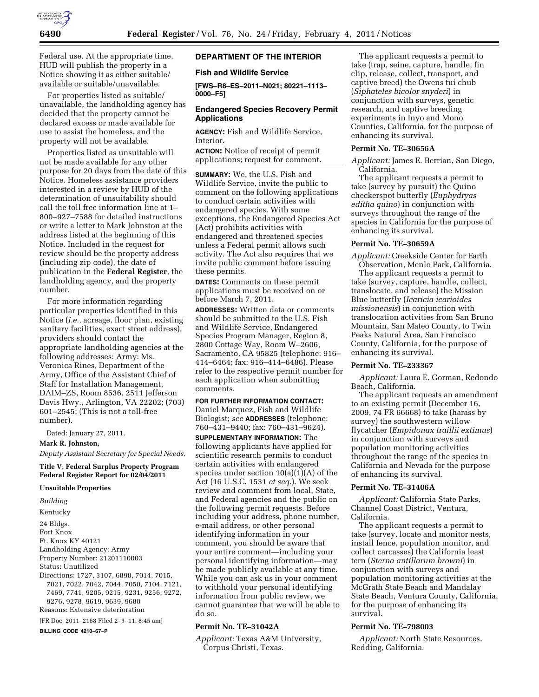

Federal use. At the appropriate time, HUD will publish the property in a Notice showing it as either suitable/ available or suitable/unavailable.

For properties listed as suitable/ unavailable, the landholding agency has decided that the property cannot be declared excess or made available for use to assist the homeless, and the property will not be available.

Properties listed as unsuitable will not be made available for any other purpose for 20 days from the date of this Notice. Homeless assistance providers interested in a review by HUD of the determination of unsuitability should call the toll free information line at 1– 800–927–7588 for detailed instructions or write a letter to Mark Johnston at the address listed at the beginning of this Notice. Included in the request for review should be the property address (including zip code), the date of publication in the **Federal Register**, the landholding agency, and the property number.

For more information regarding particular properties identified in this Notice (*i.e.,* acreage, floor plan, existing sanitary facilities, exact street address), providers should contact the appropriate landholding agencies at the following addresses: Army: Ms. Veronica Rines, Department of the Army, Office of the Assistant Chief of Staff for Installation Management, DAIM–ZS, Room 8536, 2511 Jefferson Davis Hwy., Arlington, VA 22202; (703) 601–2545; (This is not a toll-free number).

Dated: January 27, 2011.

#### **Mark R. Johnston,**

*Deputy Assistant Secretary for Special Needs.* 

### **Title V, Federal Surplus Property Program Federal Register Report for 02/04/2011**

#### **Unsuitable Properties**

*Building*  Kentucky 24 Bldgs. Fort Knox Ft. Knox KY 40121 Landholding Agency: Army Property Number: 21201110003 Status: Unutilized Directions: 1727, 3107, 6898, 7014, 7015, 7021, 7022, 7042, 7044, 7050, 7104, 7121, 7469, 7741, 9205, 9215, 9231, 9256, 9272, 9276, 9278, 9619, 9639, 9680 Reasons: Extensive deterioration [FR Doc. 2011–2168 Filed 2–3–11; 8:45 am]

**BILLING CODE 4210–67–P** 

# **DEPARTMENT OF THE INTERIOR**

# **Fish and Wildlife Service**

**[FWS–R8–ES–2011–N021; 80221–1113– 0000–F5]** 

## **Endangered Species Recovery Permit Applications**

**AGENCY:** Fish and Wildlife Service, Interior.

**ACTION:** Notice of receipt of permit applications; request for comment.

**SUMMARY:** We, the U.S. Fish and Wildlife Service, invite the public to comment on the following applications to conduct certain activities with endangered species. With some exceptions, the Endangered Species Act (Act) prohibits activities with endangered and threatened species unless a Federal permit allows such activity. The Act also requires that we invite public comment before issuing these permits.

**DATES:** Comments on these permit applications must be received on or before March 7, 2011.

**ADDRESSES:** Written data or comments should be submitted to the U.S. Fish and Wildlife Service, Endangered Species Program Manager, Region 8, 2800 Cottage Way, Room W–2606, Sacramento, CA 95825 (telephone: 916– 414–6464; fax: 916–414–6486). Please refer to the respective permit number for each application when submitting comments.

### **FOR FURTHER INFORMATION CONTACT:**

Daniel Marquez, Fish and Wildlife Biologist; *see* **ADDRESSES** (telephone: 760–431–9440; fax: 760–431–9624).

**SUPPLEMENTARY INFORMATION:** The following applicants have applied for scientific research permits to conduct certain activities with endangered species under section 10(a)(1)(A) of the Act (16 U.S.C. 1531 *et seq.*). We seek review and comment from local, State, and Federal agencies and the public on the following permit requests. Before including your address, phone number, e-mail address, or other personal identifying information in your comment, you should be aware that your entire comment—including your personal identifying information—may be made publicly available at any time. While you can ask us in your comment to withhold your personal identifying information from public review, we cannot guarantee that we will be able to do so.

## **Permit No. TE–31042A**

*Applicant:* Texas A&M University, Corpus Christi, Texas.

The applicant requests a permit to take (trap, seine, capture, handle, fin clip, release, collect, transport, and captive breed) the Owens tui chub (*Siphateles bicolor snyderi*) in conjunction with surveys, genetic research, and captive breeding experiments in Inyo and Mono Counties, California, for the purpose of enhancing its survival.

### **Permit No. TE–30656A**

*Applicant:* James E. Berrian, San Diego, California.

The applicant requests a permit to take (survey by pursuit) the Quino checkerspot butterfly (*Euphydryas editha quino*) in conjunction with surveys throughout the range of the species in California for the purpose of enhancing its survival.

### **Permit No. TE–30659A**

*Applicant:* Creekside Center for Earth Observation, Menlo Park, California.

The applicant requests a permit to take (survey, capture, handle, collect, translocate, and release) the Mission Blue butterfly (*Icaricia icarioides missionensis*) in conjunction with translocation activities from San Bruno Mountain, San Mateo County, to Twin Peaks Natural Area, San Francisco County, California, for the purpose of enhancing its survival.

### **Permit No. TE–233367**

*Applicant:* Laura E. Gorman, Redondo Beach, California.

The applicant requests an amendment to an existing permit (December 16, 2009, 74 FR 66668) to take (harass by survey) the southwestern willow flycatcher (*Empidonax traillii extimus*) in conjunction with surveys and population monitoring activities throughout the range of the species in California and Nevada for the purpose of enhancing its survival.

### **Permit No. TE–31406A**

*Applicant:* California State Parks, Channel Coast District, Ventura, California.

The applicant requests a permit to take (survey, locate and monitor nests, install fence, population monitor, and collect carcasses) the California least tern (*Sterna antillarum browni*) in conjunction with surveys and population monitoring activities at the McGrath State Beach and Mandalay State Beach, Ventura County, California, for the purpose of enhancing its survival.

### **Permit No. TE–798003**

*Applicant:* North State Resources, Redding, California.